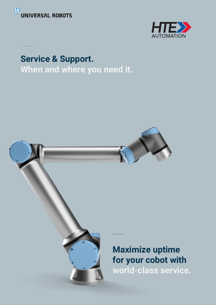



**Service & Support. When and where you need it.**

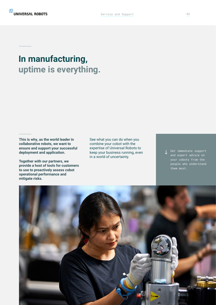# **In manufacturing, uptime is everything.**

**This is why, as the world leader in collaborative robots, we want to ensure and support your successful deployment and application.**

**Together with our partners, we provide a host of tools for customers to use to proactively assess cobot operational performance and mitigate risks.**

See what you can do when you combine your cobot with the expertise of Universal Robots to keep your business running, even in a world of uncertainty.

Get immediate support and expert advice on your cobots from the people who understand them most.

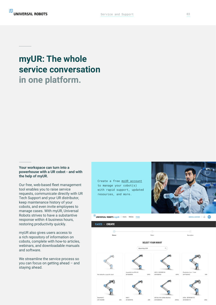## **myUR: The whole service conversation in one platform.**

### **Your workspace can turn into a powerhouse with a UR cobot - and with the help of myUR.**

Our free, web-based fleet management tool enables you to raise service requests, communicate directly with UR Tech Support and your UR distributor, keep maintenance history of your cobots, and even invite employees to manage cases. With myUR, Universal Robots strives to have a substantive response within 4 business hours, restoring productivity quickly.

myUR also gives users access to a rich repository of information on cobots, complete with how-to articles, webinars, and downloadable manuals and software.

We streamline the service process so you can focus on getting ahead – and staying ahead.

Create a free [myUR accoun](https://myur.universal-robots.com/)t to manage your cobot(s) [with rapid support, updated](https://myur.universal-robots.com/)  resources, and more.



UNIVERSAL ROBOTS myUR | Users Robots Cases

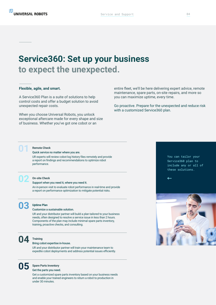### **Service360: Set up your business to expect the unexpected.**

#### **Flexible, agile, and smart.**

A Service360 Plan is a suite of solutions to help control costs and offer a budget solution to avoid unexpected repair costs.

When you choose Universal Robots, you unlock exceptional aftercare made for every shape and size of business. Whether you've got one cobot or an

entire fleet, we'll be here delivering expert advice, remote maintenance, spare parts, on-site repairs, and more so you can maximize uptime, every time.

Go proactive. Prepare for the unexpected and reduce risk with a customized Service360 plan.

## **01 Remote Check**<br>Quick service no matter where you are.

UR experts will review cobot log history files remotely and provide a report on findings and recommendations to optimize robot performance.



#### **02 On-site Check**

#### Support when you need it, where you need it.

An in-person visit to evaluate robot performance in real-time and provide a report on performance optimization to mitigate potential risks.



#### **03 Uptime Plan**

#### Customize a sustainable solution.

UR and your distributor partner will build a plan tailored to your business needs, often designed to resolve a service issue in less than 2 hours. Components of the plan may include minimal spare parts inventory, training, proactive checks, and consulting.



# **04 Training** Bring cobot expertise in-house.

UR and your distributor partner will train your maintenance team to expedite cobot deployments and address potential issues efficiently.

## **05 Spare Parts Inventory** Get the parts you need.

Get a customized spare parts inventory based on your business needs and enable your trained engineers to return a robot to production in under 30 minutes.

You can tailor your Service360 plan to include any or all of these solutions.